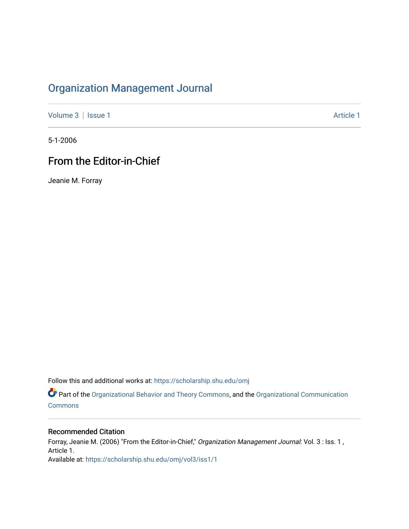## [Organization Management Journal](https://scholarship.shu.edu/omj)

[Volume 3](https://scholarship.shu.edu/omj/vol3) | [Issue 1](https://scholarship.shu.edu/omj/vol3/iss1) Article 1

5-1-2006

## From the Editor-in-Chief

Jeanie M. Forray

Follow this and additional works at: [https://scholarship.shu.edu/omj](https://scholarship.shu.edu/omj?utm_source=scholarship.shu.edu%2Fomj%2Fvol3%2Fiss1%2F1&utm_medium=PDF&utm_campaign=PDFCoverPages) 

Part of the [Organizational Behavior and Theory Commons,](http://network.bepress.com/hgg/discipline/639?utm_source=scholarship.shu.edu%2Fomj%2Fvol3%2Fiss1%2F1&utm_medium=PDF&utm_campaign=PDFCoverPages) and the [Organizational Communication](http://network.bepress.com/hgg/discipline/335?utm_source=scholarship.shu.edu%2Fomj%2Fvol3%2Fiss1%2F1&utm_medium=PDF&utm_campaign=PDFCoverPages) [Commons](http://network.bepress.com/hgg/discipline/335?utm_source=scholarship.shu.edu%2Fomj%2Fvol3%2Fiss1%2F1&utm_medium=PDF&utm_campaign=PDFCoverPages)

## Recommended Citation

Forray, Jeanie M. (2006) "From the Editor-in-Chief," Organization Management Journal: Vol. 3 : Iss. 1, Article 1. Available at: [https://scholarship.shu.edu/omj/vol3/iss1/1](https://scholarship.shu.edu/omj/vol3/iss1/1?utm_source=scholarship.shu.edu%2Fomj%2Fvol3%2Fiss1%2F1&utm_medium=PDF&utm_campaign=PDFCoverPages)